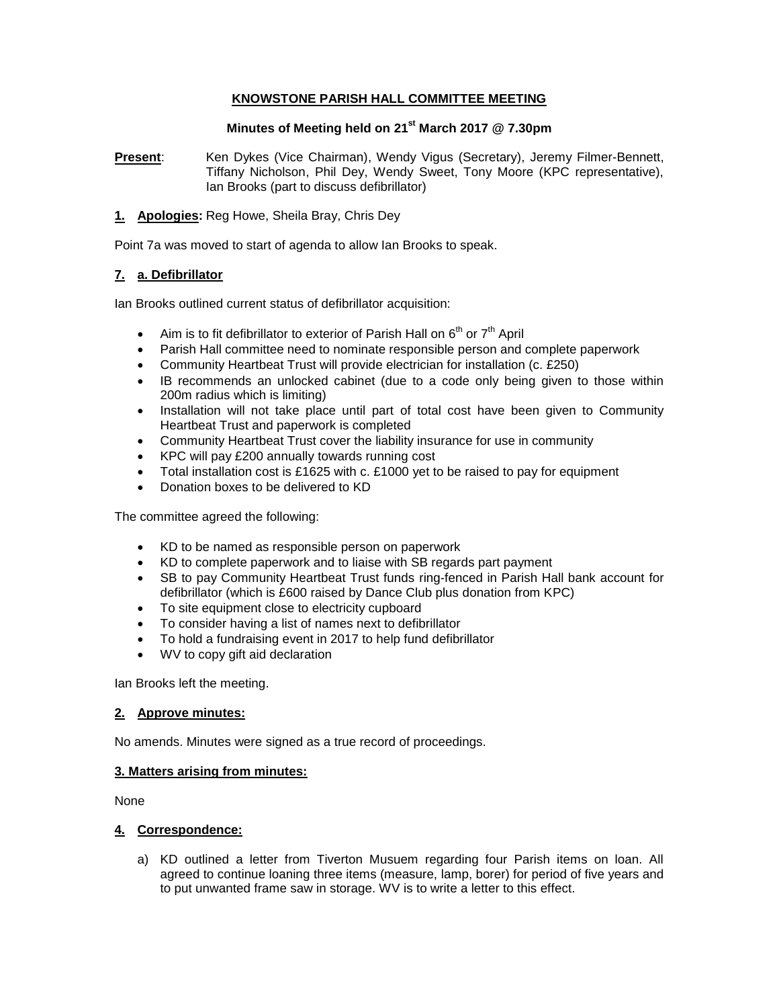### **KNOWSTONE PARISH HALL COMMITTEE MEETING**

## **Minutes of Meeting held on 21st March 2017 @ 7.30pm**

**Present**: Ken Dykes (Vice Chairman), Wendy Vigus (Secretary), Jeremy Filmer-Bennett, Tiffany Nicholson, Phil Dey, Wendy Sweet, Tony Moore (KPC representative), Ian Brooks (part to discuss defibrillator)

#### **1. Apologies:** Reg Howe, Sheila Bray, Chris Dey

Point 7a was moved to start of agenda to allow Ian Brooks to speak.

#### **7. a. Defibrillator**

Ian Brooks outlined current status of defibrillator acquisition:

- Aim is to fit defibrillator to exterior of Parish Hall on  $6<sup>th</sup>$  or  $7<sup>th</sup>$  April
- Parish Hall committee need to nominate responsible person and complete paperwork
- Community Heartbeat Trust will provide electrician for installation (c. £250)
- IB recommends an unlocked cabinet (due to a code only being given to those within 200m radius which is limiting)
- Installation will not take place until part of total cost have been given to Community Heartbeat Trust and paperwork is completed
- Community Heartbeat Trust cover the liability insurance for use in community
- KPC will pay £200 annually towards running cost
- Total installation cost is £1625 with c. £1000 yet to be raised to pay for equipment
- Donation boxes to be delivered to KD

The committee agreed the following:

- KD to be named as responsible person on paperwork
- KD to complete paperwork and to liaise with SB regards part payment
- SB to pay Community Heartbeat Trust funds ring-fenced in Parish Hall bank account for defibrillator (which is £600 raised by Dance Club plus donation from KPC)
- To site equipment close to electricity cupboard
- To consider having a list of names next to defibrillator
- To hold a fundraising event in 2017 to help fund defibrillator
- WV to copy gift aid declaration

Ian Brooks left the meeting.

#### **2. Approve minutes:**

No amends. Minutes were signed as a true record of proceedings.

#### **3. Matters arising from minutes:**

None

#### **4. Correspondence:**

a) KD outlined a letter from Tiverton Musuem regarding four Parish items on loan. All agreed to continue loaning three items (measure, lamp, borer) for period of five years and to put unwanted frame saw in storage. WV is to write a letter to this effect.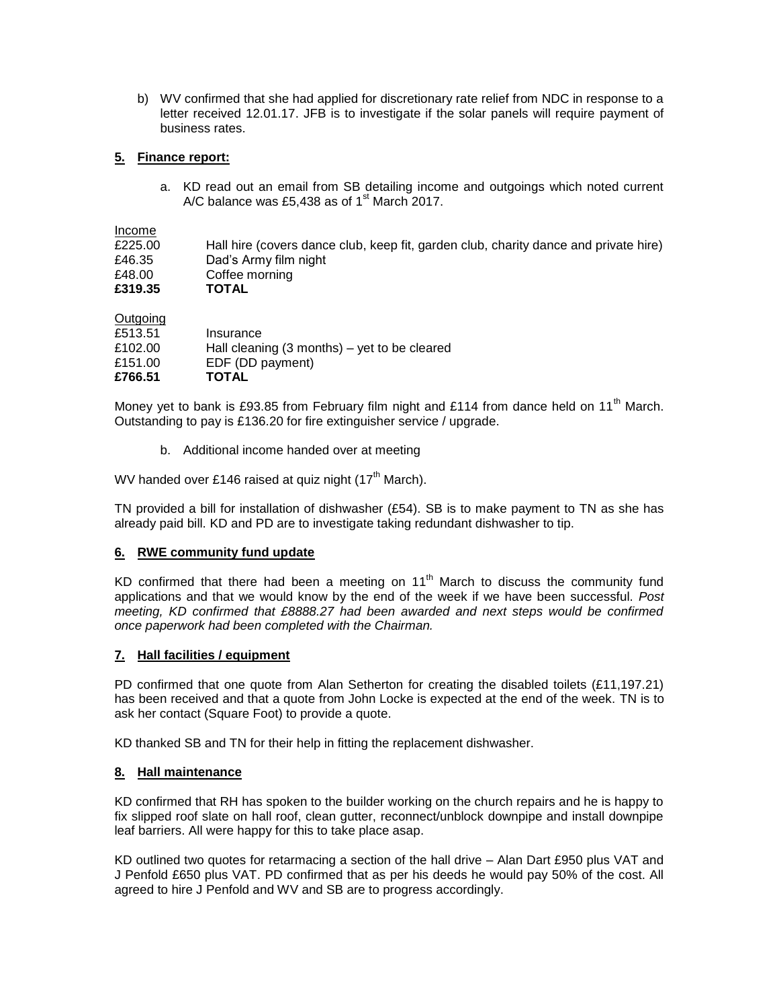b) WV confirmed that she had applied for discretionary rate relief from NDC in response to a letter received 12.01.17. JFB is to investigate if the solar panels will require payment of business rates.

## **5. Finance report:**

a. KD read out an email from SB detailing income and outgoings which noted current A/C balance was £5,438 as of  $1<sup>st</sup>$  March 2017.

**Outgoing** 

| ______<br>£513.51  | Insurance                                                                         |
|--------------------|-----------------------------------------------------------------------------------|
| £102.00<br>£151.00 | Hall cleaning $(3 \text{ months}) - \text{yet to be cleared}$<br>EDF (DD payment) |
| £766.51            | <b>TOTAL</b>                                                                      |

Money yet to bank is £93.85 from February film night and £114 from dance held on 11<sup>th</sup> March. Outstanding to pay is £136.20 for fire extinguisher service / upgrade.

b. Additional income handed over at meeting

WV handed over £146 raised at quiz night (17<sup>th</sup> March).

TN provided a bill for installation of dishwasher (£54). SB is to make payment to TN as she has already paid bill. KD and PD are to investigate taking redundant dishwasher to tip.

## **6. RWE community fund update**

KD confirmed that there had been a meeting on  $11<sup>th</sup>$  March to discuss the community fund applications and that we would know by the end of the week if we have been successful. *Post meeting, KD confirmed that £8888.27 had been awarded and next steps would be confirmed once paperwork had been completed with the Chairman.* 

## **7. Hall facilities / equipment**

PD confirmed that one quote from Alan Setherton for creating the disabled toilets (£11,197.21) has been received and that a quote from John Locke is expected at the end of the week. TN is to ask her contact (Square Foot) to provide a quote.

KD thanked SB and TN for their help in fitting the replacement dishwasher.

## **8. Hall maintenance**

KD confirmed that RH has spoken to the builder working on the church repairs and he is happy to fix slipped roof slate on hall roof, clean gutter, reconnect/unblock downpipe and install downpipe leaf barriers. All were happy for this to take place asap.

KD outlined two quotes for retarmacing a section of the hall drive – Alan Dart £950 plus VAT and J Penfold £650 plus VAT. PD confirmed that as per his deeds he would pay 50% of the cost. All agreed to hire J Penfold and WV and SB are to progress accordingly.